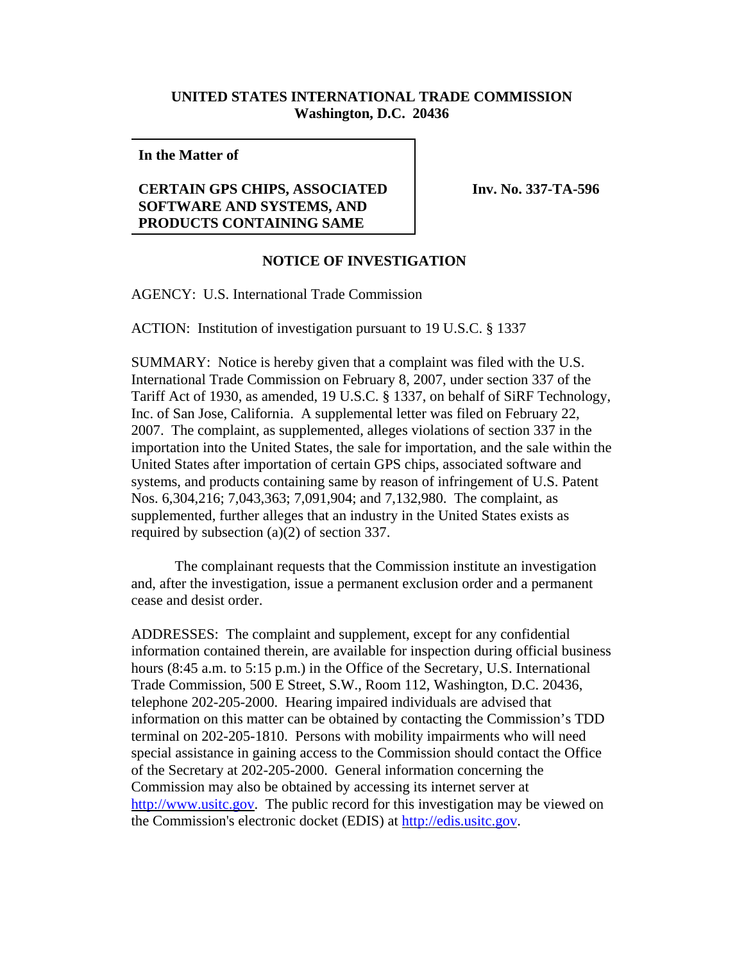## **UNITED STATES INTERNATIONAL TRADE COMMISSION Washington, D.C. 20436**

**In the Matter of**

## **CERTAIN GPS CHIPS, ASSOCIATED SOFTWARE AND SYSTEMS, AND PRODUCTS CONTAINING SAME**

**Inv. No. 337-TA-596**

## **NOTICE OF INVESTIGATION**

AGENCY: U.S. International Trade Commission

ACTION: Institution of investigation pursuant to 19 U.S.C. § 1337

SUMMARY: Notice is hereby given that a complaint was filed with the U.S. International Trade Commission on February 8, 2007, under section 337 of the Tariff Act of 1930, as amended, 19 U.S.C. § 1337, on behalf of SiRF Technology, Inc. of San Jose, California. A supplemental letter was filed on February 22, 2007. The complaint, as supplemented, alleges violations of section 337 in the importation into the United States, the sale for importation, and the sale within the United States after importation of certain GPS chips, associated software and systems, and products containing same by reason of infringement of U.S. Patent Nos. 6,304,216; 7,043,363; 7,091,904; and 7,132,980. The complaint, as supplemented, further alleges that an industry in the United States exists as required by subsection (a)(2) of section 337.

The complainant requests that the Commission institute an investigation and, after the investigation, issue a permanent exclusion order and a permanent cease and desist order.

ADDRESSES: The complaint and supplement, except for any confidential information contained therein, are available for inspection during official business hours (8:45 a.m. to 5:15 p.m.) in the Office of the Secretary, U.S. International Trade Commission, 500 E Street, S.W., Room 112, Washington, D.C. 20436, telephone 202-205-2000. Hearing impaired individuals are advised that information on this matter can be obtained by contacting the Commission's TDD terminal on 202-205-1810. Persons with mobility impairments who will need special assistance in gaining access to the Commission should contact the Office of the Secretary at 202-205-2000. General information concerning the Commission may also be obtained by accessing its internet server at http://www.usitc.gov. The public record for this investigation may be viewed on the Commission's electronic docket (EDIS) at http://edis.usitc.gov.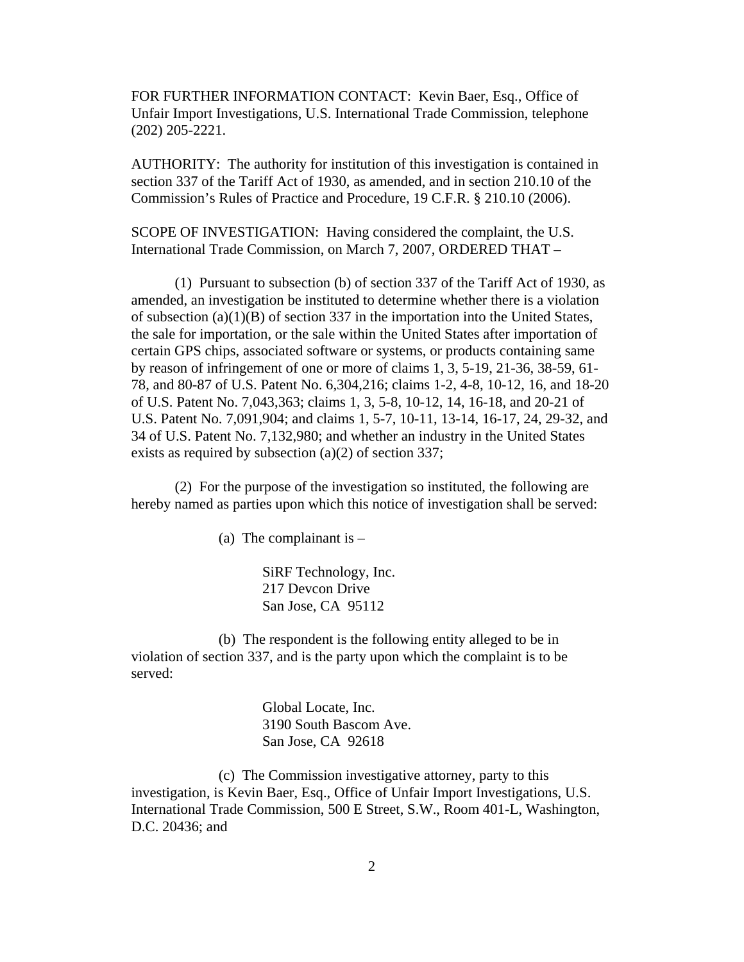FOR FURTHER INFORMATION CONTACT: Kevin Baer, Esq., Office of Unfair Import Investigations, U.S. International Trade Commission, telephone (202) 205-2221.

AUTHORITY: The authority for institution of this investigation is contained in section 337 of the Tariff Act of 1930, as amended, and in section 210.10 of the Commission's Rules of Practice and Procedure, 19 C.F.R. § 210.10 (2006).

SCOPE OF INVESTIGATION: Having considered the complaint, the U.S. International Trade Commission, on March 7, 2007, ORDERED THAT –

(1) Pursuant to subsection (b) of section 337 of the Tariff Act of 1930, as amended, an investigation be instituted to determine whether there is a violation of subsection (a)(1)(B) of section 337 in the importation into the United States, the sale for importation, or the sale within the United States after importation of certain GPS chips, associated software or systems, or products containing same by reason of infringement of one or more of claims 1, 3, 5-19, 21-36, 38-59, 61- 78, and 80-87 of U.S. Patent No. 6,304,216; claims 1-2, 4-8, 10-12, 16, and 18-20 of U.S. Patent No. 7,043,363; claims 1, 3, 5-8, 10-12, 14, 16-18, and 20-21 of U.S. Patent No. 7,091,904; and claims 1, 5-7, 10-11, 13-14, 16-17, 24, 29-32, and 34 of U.S. Patent No. 7,132,980; and whether an industry in the United States exists as required by subsection (a)(2) of section 337;

(2) For the purpose of the investigation so instituted, the following are hereby named as parties upon which this notice of investigation shall be served:

(a) The complainant is  $-$ 

SiRF Technology, Inc. 217 Devcon Drive San Jose, CA 95112

(b) The respondent is the following entity alleged to be in violation of section 337, and is the party upon which the complaint is to be served:

> Global Locate, Inc. 3190 South Bascom Ave. San Jose, CA 92618

(c) The Commission investigative attorney, party to this investigation, is Kevin Baer, Esq., Office of Unfair Import Investigations, U.S. International Trade Commission, 500 E Street, S.W., Room 401-L, Washington, D.C. 20436; and